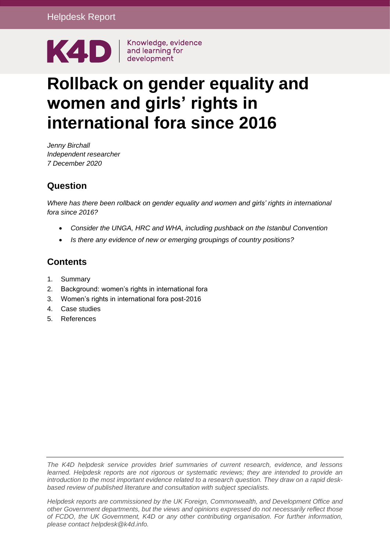

# **Rollback on gender equality and women and girls' rights in international fora since 2016**

*Jenny Birchall Independent researcher 7 December 2020*

## **Question**

*Where has there been rollback on gender equality and women and girls' rights in international fora since 2016?*

- *Consider the UNGA, HRC and WHA, including pushback on the Istanbul Convention*
- *Is there any evidence of new or emerging groupings of country positions?*

# **Contents**

- 1. [Summary](#page-1-0)
- 2. [Background: women's rights in international fora](#page-2-0)
- 3. [Women's rights in international fora post-2016](#page-3-0)
- 4. [Case studies](#page-10-0)
- 5. [References](#page-18-0)

*The K4D helpdesk service provides brief summaries of current research, evidence, and lessons learned. Helpdesk reports are not rigorous or systematic reviews; they are intended to provide an introduction to the most important evidence related to a research question. They draw on a rapid deskbased review of published literature and consultation with subject specialists.* 

*Helpdesk reports are commissioned by the UK Foreign, Commonwealth, and Development Office and other Government departments, but the views and opinions expressed do not necessarily reflect those of FCDO, the UK Government, K4D or any other contributing organisation. For further information, please contact helpdesk@k4d.info.*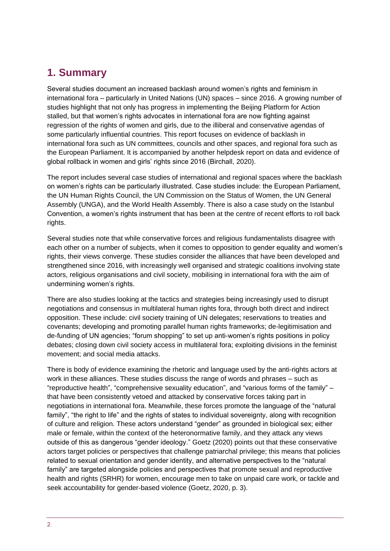# <span id="page-1-0"></span>**1. Summary**

Several studies document an increased backlash around women's rights and feminism in international fora – particularly in United Nations (UN) spaces – since 2016. A growing number of studies highlight that not only has progress in implementing the Beijing Platform for Action stalled, but that women's rights advocates in international fora are now fighting against regression of the rights of women and girls, due to the illiberal and conservative agendas of some particularly influential countries. This report focuses on evidence of backlash in international fora such as UN committees, councils and other spaces, and regional fora such as the European Parliament. It is accompanied by another helpdesk report on data and evidence of global rollback in women and girls' rights since 2016 (Birchall, 2020).

The report includes several case studies of international and regional spaces where the backlash on women's rights can be particularly illustrated. Case studies include: the European Parliament, the UN Human Rights Council, the UN Commission on the Status of Women, the UN General Assembly (UNGA), and the World Health Assembly. There is also a case study on the Istanbul Convention, a women's rights instrument that has been at the centre of recent efforts to roll back rights.

Several studies note that while conservative forces and religious fundamentalists disagree with each other on a number of subjects, when it comes to opposition to gender equality and women's rights, their views converge. These studies consider the alliances that have been developed and strengthened since 2016, with increasingly well organised and strategic coalitions involving state actors, religious organisations and civil society, mobilising in international fora with the aim of undermining women's rights.

There are also studies looking at the tactics and strategies being increasingly used to disrupt negotiations and consensus in multilateral human rights fora, through both direct and indirect opposition. These include: civil society training of UN delegates; reservations to treaties and covenants; developing and promoting parallel human rights frameworks; de-legitimisation and de-funding of UN agencies; "forum shopping" to set up anti-women's rights positions in policy debates; closing down civil society access in multilateral fora; exploiting divisions in the feminist movement; and social media attacks.

There is body of evidence examining the rhetoric and language used by the anti-rights actors at work in these alliances. These studies discuss the range of words and phrases – such as "reproductive health", "comprehensive sexuality education", and "various forms of the family" – that have been consistently vetoed and attacked by conservative forces taking part in negotiations in international fora. Meanwhile, these forces promote the language of the "natural family", "the right to life" and the rights of states to individual sovereignty, along with recognition of culture and religion. These actors understand "gender" as grounded in biological sex; either male or female, within the context of the heteronormative family, and they attack any views outside of this as dangerous "gender ideology." Goetz (2020) points out that these conservative actors target policies or perspectives that challenge patriarchal privilege; this means that policies related to sexual orientation and gender identity, and alternative perspectives to the "natural family" are targeted alongside policies and perspectives that promote sexual and reproductive health and rights (SRHR) for women, encourage men to take on unpaid care work, or tackle and seek accountability for gender-based violence (Goetz, 2020, p. 3).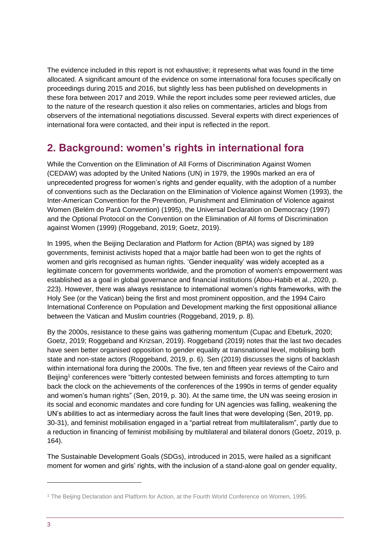The evidence included in this report is not exhaustive; it represents what was found in the time allocated. A significant amount of the evidence on some international fora focuses specifically on proceedings during 2015 and 2016, but slightly less has been published on developments in these fora between 2017 and 2019. While the report includes some peer reviewed articles, due to the nature of the research question it also relies on commentaries, articles and blogs from observers of the international negotiations discussed. Several experts with direct experiences of international fora were contacted, and their input is reflected in the report.

# <span id="page-2-0"></span>**2. Background: women's rights in international fora**

While the Convention on the Elimination of All Forms of Discrimination Against Women (CEDAW) was adopted by the United Nations (UN) in 1979, the 1990s marked an era of unprecedented progress for women's rights and gender equality, with the adoption of a number of conventions such as the Declaration on the Elimination of Violence against Women (1993), the Inter-American Convention for the Prevention, Punishment and Elimination of Violence against Women (Belém do Pará Convention) (1995), the Universal Declaration on Democracy (1997) and the Optional Protocol on the Convention on the Elimination of All forms of Discrimination against Women (1999) (Roggeband, 2019; Goetz, 2019).

In 1995, when the Beijing Declaration and Platform for Action (BPfA) was signed by 189 governments, feminist activists hoped that a major battle had been won to get the rights of women and girls recognised as human rights. 'Gender inequality' was widely accepted as a legitimate concern for governments worldwide, and the promotion of women's empowerment was established as a goal in global governance and financial institutions (Abou-Habib et al., 2020, p. 223). However, there was always resistance to international women's rights frameworks, with the Holy See (or the Vatican) being the first and most prominent opposition, and the 1994 Cairo International Conference on Population and Development marking the first oppositional alliance between the Vatican and Muslim countries (Roggeband, 2019, p. 8).

By the 2000s, resistance to these gains was gathering momentum (Cupac and Ebeturk, 2020; Goetz, 2019; Roggeband and Krizsan, 2019). Roggeband (2019) notes that the last two decades have seen better organised opposition to gender equality at transnational level, mobilising both state and non-state actors (Roggeband, 2019, p. 6). Sen (2019) discusses the signs of backlash within international fora during the 2000s. The five, ten and fifteen year reviews of the Cairo and Beijing<sup>1</sup> conferences were "bitterly contested between feminists and forces attempting to turn back the clock on the achievements of the conferences of the 1990s in terms of gender equality and women's human rights" (Sen, 2019, p. 30). At the same time, the UN was seeing erosion in its social and economic mandates and core funding for UN agencies was falling, weakening the UN's abilities to act as intermediary across the fault lines that were developing (Sen, 2019, pp. 30-31), and feminist mobilisation engaged in a "partial retreat from multilateralism", partly due to a reduction in financing of feminist mobilising by multilateral and bilateral donors (Goetz, 2019, p. 164).

The Sustainable Development Goals (SDGs), introduced in 2015, were hailed as a significant moment for women and girls' rights, with the inclusion of a stand-alone goal on gender equality,

<sup>1</sup> The Beijing Declaration and Platform for Action, at the Fourth World Conference on Women, 1995.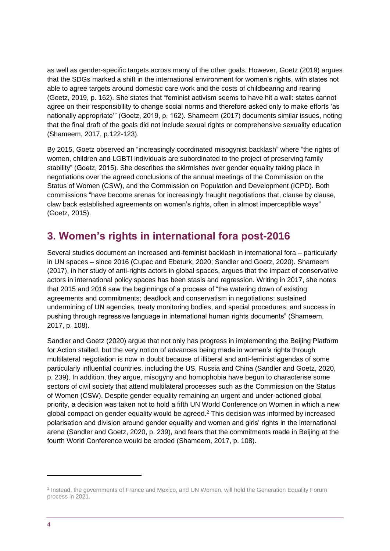as well as gender-specific targets across many of the other goals. However, Goetz (2019) argues that the SDGs marked a shift in the international environment for women's rights, with states not able to agree targets around domestic care work and the costs of childbearing and rearing (Goetz, 2019, p. 162). She states that "feminist activism seems to have hit a wall: states cannot agree on their responsibility to change social norms and therefore asked only to make efforts 'as nationally appropriate'" (Goetz, 2019, p. 162). Shameem (2017) documents similar issues, noting that the final draft of the goals did not include sexual rights or comprehensive sexuality education (Shameem, 2017, p.122-123).

By 2015, Goetz observed an "increasingly coordinated misogynist backlash" where "the rights of women, children and LGBTI individuals are subordinated to the project of preserving family stability" (Goetz, 2015). She describes the skirmishes over gender equality taking place in negotiations over the agreed conclusions of the annual meetings of the Commission on the Status of Women (CSW), and the Commission on Population and Development (ICPD). Both commissions "have become arenas for increasingly fraught negotiations that, clause by clause, claw back established agreements on women's rights, often in almost imperceptible ways" (Goetz, 2015).

# <span id="page-3-0"></span>**3. Women's rights in international fora post-2016**

Several studies document an increased anti-feminist backlash in international fora – particularly in UN spaces – since 2016 (Cupac and Ebeturk, 2020; Sandler and Goetz, 2020). Shameem (2017), in her study of anti-rights actors in global spaces, argues that the impact of conservative actors in international policy spaces has been stasis and regression. Writing in 2017, she notes that 2015 and 2016 saw the beginnings of a process of "the watering down of existing agreements and commitments; deadlock and conservatism in negotiations; sustained undermining of UN agencies, treaty monitoring bodies, and special procedures; and success in pushing through regressive language in international human rights documents" (Shameem, 2017, p. 108).

Sandler and Goetz (2020) argue that not only has progress in implementing the Beijing Platform for Action stalled, but the very notion of advances being made in women's rights through multilateral negotiation is now in doubt because of illiberal and anti-feminist agendas of some particularly influential countries, including the US, Russia and China (Sandler and Goetz, 2020, p. 239). In addition, they argue, misogyny and homophobia have begun to characterise some sectors of civil society that attend multilateral processes such as the Commission on the Status of Women (CSW). Despite gender equality remaining an urgent and under-actioned global priority, a decision was taken not to hold a fifth UN World Conference on Women in which a new global compact on gender equality would be agreed.<sup>2</sup> This decision was informed by increased polarisation and division around gender equality and women and girls' rights in the international arena (Sandler and Goetz, 2020, p. 239), and fears that the commitments made in Beijing at the fourth World Conference would be eroded (Shameem, 2017, p. 108).

<sup>&</sup>lt;sup>2</sup> Instead, the governments of France and Mexico, and UN Women, will hold the Generation Equality Forum process in 2021.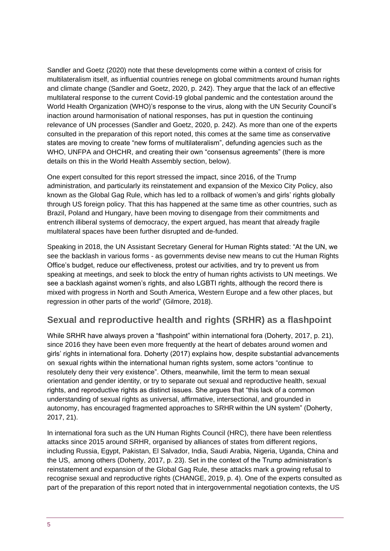Sandler and Goetz (2020) note that these developments come within a context of crisis for multilateralism itself, as influential countries renege on global commitments around human rights and climate change (Sandler and Goetz, 2020, p. 242). They argue that the lack of an effective multilateral response to the current Covid-19 global pandemic and the contestation around the World Health Organization (WHO)'s response to the virus, along with the UN Security Council's inaction around harmonisation of national responses, has put in question the continuing relevance of UN processes (Sandler and Goetz, 2020, p. 242). As more than one of the experts consulted in the preparation of this report noted, this comes at the same time as conservative states are moving to create "new forms of multilateralism", defunding agencies such as the WHO, UNFPA and OHCHR, and creating their own "consensus agreements" (there is more details on this in the World Health Assembly section, below).

One expert consulted for this report stressed the impact, since 2016, of the Trump administration, and particularly its reinstatement and expansion of the Mexico City Policy, also known as the Global Gag Rule, which has led to a rollback of women's and girls' rights globally through US foreign policy. That this has happened at the same time as other countries, such as Brazil, Poland and Hungary, have been moving to disengage from their commitments and entrench illiberal systems of democracy, the expert argued, has meant that already fragile multilateral spaces have been further disrupted and de-funded.

Speaking in 2018, the UN Assistant Secretary General for Human Rights stated: "At the UN, we see the backlash in various forms - as governments devise new means to cut the Human Rights Office's budget, reduce our effectiveness, protest our activities, and try to prevent us from speaking at meetings, and seek to block the entry of human rights activists to UN meetings. We see a backlash against women's rights, and also LGBTI rights, although the record there is mixed with progress in North and South America, Western Europe and a few other places, but regression in other parts of the world" (Gilmore, 2018).

### **Sexual and reproductive health and rights (SRHR) as a flashpoint**

While SRHR have always proven a "flashpoint" within international fora (Doherty, 2017, p. 21), since 2016 they have been even more frequently at the heart of debates around women and girls' rights in international fora. Doherty (2017) explains how, despite substantial advancements on sexual rights within the international human rights system, some actors "continue to resolutely deny their very existence". Others, meanwhile, limit the term to mean sexual orientation and gender identity, or try to separate out sexual and reproductive health, sexual rights, and reproductive rights as distinct issues. She argues that "this lack of a common understanding of sexual rights as universal, affirmative, intersectional, and grounded in autonomy, has encouraged fragmented approaches to SRHR within the UN system" (Doherty, 2017, 21).

In international fora such as the UN Human Rights Council (HRC), there have been relentless attacks since 2015 around SRHR, organised by alliances of states from different regions, including Russia, Egypt, Pakistan, El Salvador, India, Saudi Arabia, Nigeria, Uganda, China and the US, among others (Doherty, 2017, p. 23). Set in the context of the Trump administration's reinstatement and expansion of the Global Gag Rule, these attacks mark a growing refusal to recognise sexual and reproductive rights (CHANGE, 2019, p. 4). One of the experts consulted as part of the preparation of this report noted that in intergovernmental negotiation contexts, the US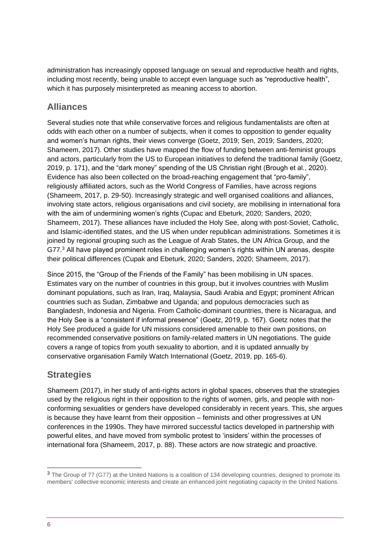administration has increasingly opposed language on sexual and reproductive health and rights, including most recently, being unable to accept even language such as "reproductive health", which it has purposely misinterpreted as meaning access to abortion.

### **Alliances**

Several studies note that while conservative forces and religious fundamentalists are often at odds with each other on a number of subjects, when it comes to opposition to gender equality and women's human rights, their views converge (Goetz, 2019; Sen, 2019; Sanders, 2020; Shameem, 2017). Other studies have mapped the flow of funding between anti-feminist groups and actors, particularly from the US to European initiatives to defend the traditional family (Goetz, 2019, p. 171), and the "dark money" spending of the US Christian right (Brough et al., 2020). Evidence has also been collected on the broad-reaching engagement that "pro-family", religiously affiliated actors, such as the World Congress of Families, have across regions (Shameem, 2017, p. 29-50). Increasingly strategic and well organised coalitions and alliances, involving state actors, religious organisations and civil society, are mobilising in international fora with the aim of undermining women's rights (Cupac and Ebeturk, 2020; Sanders, 2020; Shameem, 2017). These alliances have included the Holy See, along with post-Soviet, Catholic, and Islamic-identified states, and the US when under republican administrations. Sometimes it is joined by regional grouping such as the League of Arab States, the UN Africa Group, and the G77.<sup>3</sup> All have played prominent roles in challenging women's rights within UN arenas, despite their political differences (Cupak and Ebeturk, 2020; Sanders, 2020; Shameem, 2017).

Since 2015, the "Group of the Friends of the Family" has been mobilising in UN spaces. Estimates vary on the number of countries in this group, but it involves countries with Muslim dominant populations, such as Iran, Iraq, Malaysia, Saudi Arabia and Egypt; prominent African countries such as Sudan, Zimbabwe and Uganda; and populous democracies such as Bangladesh, Indonesia and Nigeria. From Catholic-dominant countries, there is Nicaragua, and the Holy See is a "consistent if informal presence" (Goetz, 2019, p. 167). Goetz notes that the Holy See produced a guide for UN missions considered amenable to their own positions, on recommended conservative positions on family-related matters in UN negotiations. The guide covers a range of topics from youth sexuality to abortion, and it is updated annually by conservative organisation Family Watch International (Goetz, 2019, pp. 165-6).

# **Strategies**

Shameem (2017), in her study of anti-rights actors in global spaces, observes that the strategies used by the religious right in their opposition to the rights of women, girls, and people with nonconforming sexualities or genders have developed considerably in recent years. This, she argues is because they have learnt from their opposition – feminists and other progressives at UN conferences in the 1990s. They have mirrored successful tactics developed in partnership with powerful elites, and have moved from symbolic protest to 'insiders' within the processes of international fora (Shameem, 2017, p. 88). These actors are now strategic and proactive.

<sup>&</sup>lt;sup>3</sup> The Group of 77 (G77) at the United Nations is a coalition of 134 developing countries, designed to promote its members' collective economic interests and create an enhanced joint negotiating capacity in the United Nations.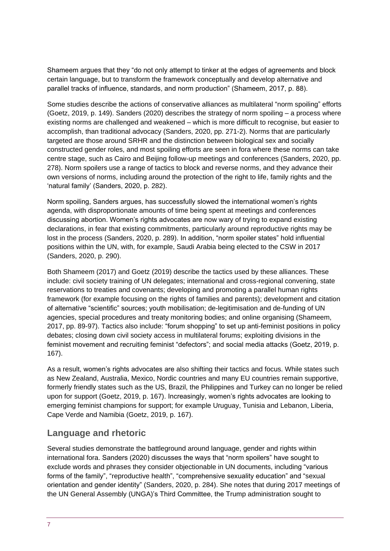Shameem argues that they "do not only attempt to tinker at the edges of agreements and block certain language, but to transform the framework conceptually and develop alternative and parallel tracks of influence, standards, and norm production" (Shameem, 2017, p. 88).

Some studies describe the actions of conservative alliances as multilateral "norm spoiling" efforts (Goetz, 2019, p. 149). Sanders (2020) describes the strategy of norm spoiling – a process where existing norms are challenged and weakened – which is more difficult to recognise, but easier to accomplish, than traditional advocacy (Sanders, 2020, pp. 271-2). Norms that are particularly targeted are those around SRHR and the distinction between biological sex and socially constructed gender roles, and most spoiling efforts are seen in fora where these norms can take centre stage, such as Cairo and Beijing follow-up meetings and conferences (Sanders, 2020, pp. 278). Norm spoilers use a range of tactics to block and reverse norms, and they advance their own versions of norms, including around the protection of the right to life, family rights and the 'natural family' (Sanders, 2020, p. 282).

Norm spoiling, Sanders argues, has successfully slowed the international women's rights agenda, with disproportionate amounts of time being spent at meetings and conferences discussing abortion. Women's rights advocates are now wary of trying to expand existing declarations, in fear that existing commitments, particularly around reproductive rights may be lost in the process (Sanders, 2020, p. 289). In addition, "norm spoiler states" hold influential positions within the UN, with, for example, Saudi Arabia being elected to the CSW in 2017 (Sanders, 2020, p. 290).

Both Shameem (2017) and Goetz (2019) describe the tactics used by these alliances. These include: civil society training of UN delegates; international and cross-regional convening, state reservations to treaties and covenants; developing and promoting a parallel human rights framework (for example focusing on the rights of families and parents); development and citation of alternative "scientific" sources; youth mobilisation; de-legitimisation and de-funding of UN agencies, special procedures and treaty monitoring bodies; and online organising (Shameem, 2017, pp. 89-97). Tactics also include: "forum shopping" to set up anti-feminist positions in policy debates; closing down civil society access in multilateral forums; exploiting divisions in the feminist movement and recruiting feminist "defectors"; and social media attacks (Goetz, 2019, p. 167).

As a result, women's rights advocates are also shifting their tactics and focus. While states such as New Zealand, Australia, Mexico, Nordic countries and many EU countries remain supportive, formerly friendly states such as the US, Brazil, the Philippines and Turkey can no longer be relied upon for support (Goetz, 2019, p. 167). Increasingly, women's rights advocates are looking to emerging feminist champions for support; for example Uruguay, Tunisia and Lebanon, Liberia, Cape Verde and Namibia (Goetz, 2019, p. 167).

# **Language and rhetoric**

Several studies demonstrate the battleground around language, gender and rights within international fora. Sanders (2020) discusses the ways that "norm spoilers" have sought to exclude words and phrases they consider objectionable in UN documents, including "various forms of the family", "reproductive health", "comprehensive sexuality education" and "sexual orientation and gender identity" (Sanders, 2020, p. 284). She notes that during 2017 meetings of the UN General Assembly (UNGA)'s Third Committee, the Trump administration sought to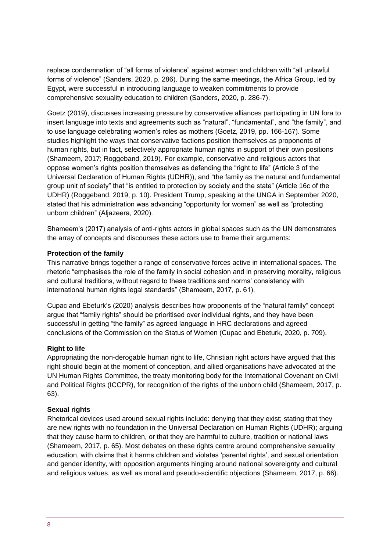replace condemnation of "all forms of violence" against women and children with "all unlawful forms of violence" (Sanders, 2020, p. 286). During the same meetings, the Africa Group, led by Egypt, were successful in introducing language to weaken commitments to provide comprehensive sexuality education to children (Sanders, 2020, p. 286-7).

Goetz (2019), discusses increasing pressure by conservative alliances participating in UN fora to insert language into texts and agreements such as "natural", "fundamental", and "the family", and to use language celebrating women's roles as mothers (Goetz, 2019, pp. 166-167). Some studies highlight the ways that conservative factions position themselves as proponents of human rights, but in fact, selectively appropriate human rights in support of their own positions (Shameem, 2017; Roggeband, 2019). For example, conservative and religious actors that oppose women's rights position themselves as defending the "right to life" (Article 3 of the Universal Declaration of Human Rights (UDHR)), and "the family as the natural and fundamental group unit of society" that "is entitled to protection by society and the state" (Article 16c of the UDHR) (Roggeband, 2019, p. 10). President Trump, speaking at the UNGA in September 2020, stated that his administration was advancing "opportunity for women" as well as "protecting unborn children" (Aljazeera, 2020).

Shameem's (2017) analysis of anti-rights actors in global spaces such as the UN demonstrates the array of concepts and discourses these actors use to frame their arguments:

#### **Protection of the family**

This narrative brings together a range of conservative forces active in international spaces. The rhetoric "emphasises the role of the family in social cohesion and in preserving morality, religious and cultural traditions, without regard to these traditions and norms' consistency with international human rights legal standards" (Shameem, 2017, p. 61).

Cupac and Ebeturk's (2020) analysis describes how proponents of the "natural family" concept argue that "family rights" should be prioritised over individual rights, and they have been successful in getting "the family" as agreed language in HRC declarations and agreed conclusions of the Commission on the Status of Women (Cupac and Ebeturk, 2020, p. 709).

#### **Right to life**

Appropriating the non-derogable human right to life, Christian right actors have argued that this right should begin at the moment of conception, and allied organisations have advocated at the UN Human Rights Committee, the treaty monitoring body for the International Covenant on Civil and Political Rights (ICCPR), for recognition of the rights of the unborn child (Shameem, 2017, p. 63).

#### **Sexual rights**

Rhetorical devices used around sexual rights include: denying that they exist; stating that they are new rights with no foundation in the Universal Declaration on Human Rights (UDHR); arguing that they cause harm to children, or that they are harmful to culture, tradition or national laws (Shameem, 2017, p. 65). Most debates on these rights centre around comprehensive sexuality education, with claims that it harms children and violates 'parental rights', and sexual orientation and gender identity, with opposition arguments hinging around national sovereignty and cultural and religious values, as well as moral and pseudo-scientific objections (Shameem, 2017, p. 66).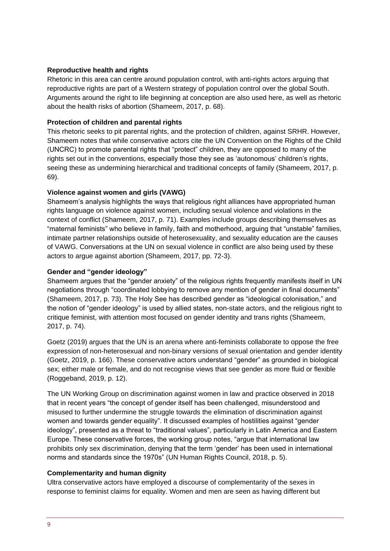#### **Reproductive health and rights**

Rhetoric in this area can centre around population control, with anti-rights actors arguing that reproductive rights are part of a Western strategy of population control over the global South. Arguments around the right to life beginning at conception are also used here, as well as rhetoric about the health risks of abortion (Shameem, 2017, p. 68).

#### **Protection of children and parental rights**

This rhetoric seeks to pit parental rights, and the protection of children, against SRHR. However, Shameem notes that while conservative actors cite the UN Convention on the Rights of the Child (UNCRC) to promote parental rights that "protect" children, they are opposed to many of the rights set out in the conventions, especially those they see as 'autonomous' children's rights, seeing these as undermining hierarchical and traditional concepts of family (Shameem, 2017, p. 69).

#### **Violence against women and girls (VAWG)**

Shameem's analysis highlights the ways that religious right alliances have appropriated human rights language on violence against women, including sexual violence and violations in the context of conflict (Shameem, 2017, p. 71). Examples include groups describing themselves as "maternal feminists" who believe in family, faith and motherhood, arguing that "unstable" families, intimate partner relationships outside of heterosexuality, and sexuality education are the causes of VAWG. Conversations at the UN on sexual violence in conflict are also being used by these actors to argue against abortion (Shameem, 2017, pp. 72-3).

#### **Gender and "gender ideology"**

Shameem argues that the "gender anxiety" of the religious rights frequently manifests itself in UN negotiations through "coordinated lobbying to remove any mention of gender in final documents" (Shameem, 2017, p. 73). The Holy See has described gender as "ideological colonisation," and the notion of "gender ideology" is used by allied states, non-state actors, and the religious right to critique feminist, with attention most focused on gender identity and trans rights (Shameem, 2017, p. 74).

Goetz (2019) argues that the UN is an arena where anti-feminists collaborate to oppose the free expression of non-heterosexual and non-binary versions of sexual orientation and gender identity (Goetz, 2019, p. 166). These conservative actors understand "gender" as grounded in biological sex; either male or female, and do not recognise views that see gender as more fluid or flexible (Roggeband, 2019, p. 12).

The UN Working Group on discrimination against women in law and practice observed in 2018 that in recent years "the concept of gender itself has been challenged, misunderstood and misused to further undermine the struggle towards the elimination of discrimination against women and towards gender equality". It discussed examples of hostilities against "gender ideology", presented as a threat to "traditional values", particularly in Latin America and Eastern Europe. These conservative forces, the working group notes, "argue that international law prohibits only sex discrimination, denying that the term 'gender' has been used in international norms and standards since the 1970s" (UN Human Rights Council, 2018, p. 5).

#### **Complementarity and human dignity**

Ultra conservative actors have employed a discourse of complementarity of the sexes in response to feminist claims for equality. Women and men are seen as having different but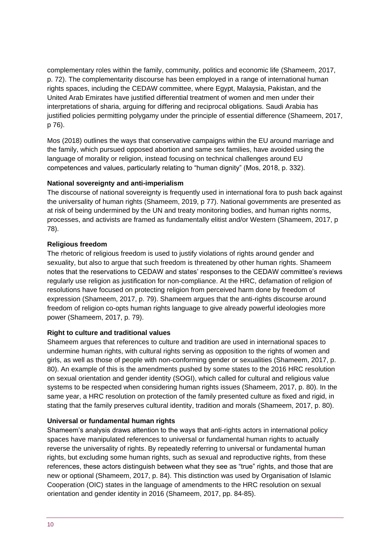complementary roles within the family, community, politics and economic life (Shameem, 2017, p. 72). The complementarity discourse has been employed in a range of international human rights spaces, including the CEDAW committee, where Egypt, Malaysia, Pakistan, and the United Arab Emirates have justified differential treatment of women and men under their interpretations of sharia, arguing for differing and reciprocal obligations. Saudi Arabia has justified policies permitting polygamy under the principle of essential difference (Shameem, 2017, p 76).

Mos (2018) outlines the ways that conservative campaigns within the EU around marriage and the family, which pursued opposed abortion and same sex families, have avoided using the language of morality or religion, instead focusing on technical challenges around EU competences and values, particularly relating to "human dignity" (Mos, 2018, p. 332).

#### **National sovereignty and anti-imperialism**

The discourse of national sovereignty is frequently used in international fora to push back against the universality of human rights (Shameem, 2019, p 77). National governments are presented as at risk of being undermined by the UN and treaty monitoring bodies, and human rights norms, processes, and activists are framed as fundamentally elitist and/or Western (Shameem, 2017, p 78).

#### **Religious freedom**

The rhetoric of religious freedom is used to justify violations of rights around gender and sexuality, but also to argue that such freedom is threatened by other human rights. Shameem notes that the reservations to CEDAW and states' responses to the CEDAW committee's reviews regularly use religion as justification for non-compliance. At the HRC, defamation of religion of resolutions have focused on protecting religion from perceived harm done by freedom of expression (Shameem, 2017, p. 79). Shameem argues that the anti-rights discourse around freedom of religion co-opts human rights language to give already powerful ideologies more power (Shameem, 2017, p. 79).

#### **Right to culture and traditional values**

Shameem argues that references to culture and tradition are used in international spaces to undermine human rights, with cultural rights serving as opposition to the rights of women and girls, as well as those of people with non-conforming gender or sexualities (Shameem, 2017, p. 80). An example of this is the amendments pushed by some states to the 2016 HRC resolution on sexual orientation and gender identity (SOGI), which called for cultural and religious value systems to be respected when considering human rights issues (Shameem, 2017, p. 80). In the same year, a HRC resolution on protection of the family presented culture as fixed and rigid, in stating that the family preserves cultural identity, tradition and morals (Shameem, 2017, p. 80).

#### **Universal or fundamental human rights**

Shameem's analysis draws attention to the ways that anti-rights actors in international policy spaces have manipulated references to universal or fundamental human rights to actually reverse the universality of rights. By repeatedly referring to universal or fundamental human rights, but excluding some human rights, such as sexual and reproductive rights, from these references, these actors distinguish between what they see as "true" rights, and those that are new or optional (Shameem, 2017, p. 84). This distinction was used by Organisation of Islamic Cooperation (OIC) states in the language of amendments to the HRC resolution on sexual orientation and gender identity in 2016 (Shameem, 2017, pp. 84-85).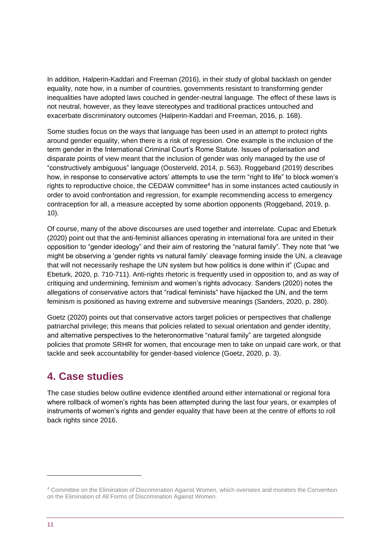In addition, Halperin-Kaddari and Freeman (2016), in their study of global backlash on gender equality, note how, in a number of countries, governments resistant to transforming gender inequalities have adopted laws couched in gender-neutral language. The effect of these laws is not neutral, however, as they leave stereotypes and traditional practices untouched and exacerbate discriminatory outcomes (Halperin-Kaddari and Freeman, 2016, p. 168).

Some studies focus on the ways that language has been used in an attempt to protect rights around gender equality, when there is a risk of regression. One example is the inclusion of the term gender in the International Criminal Court's Rome Statute. Issues of polarisation and disparate points of view meant that the inclusion of gender was only managed by the use of "constructively ambiguous" language (Oosterveld, 2014, p. 563). Roggeband (2019) describes how, in response to conservative actors' attempts to use the term "right to life" to block women's rights to reproductive choice, the CEDAW committee<sup>4</sup> has in some instances acted cautiously in order to avoid confrontation and regression, for example recommending access to emergency contraception for all, a measure accepted by some abortion opponents (Roggeband, 2019, p. 10).

Of course, many of the above discourses are used together and interrelate. Cupac and Ebeturk (2020) point out that the anti-feminist alliances operating in international fora are united in their opposition to "gender ideology" and their aim of restoring the "natural family". They note that "we might be observing a 'gender rights vs natural family' cleavage forming inside the UN, a cleavage that will not necessarily reshape the UN system but how politics is done within it" (Cupac and Ebeturk, 2020, p. 710-711). Anti-rights rhetoric is frequently used in opposition to, and as way of critiquing and undermining, feminism and women's rights advocacy. Sanders (2020) notes the allegations of conservative actors that "radical feminists" have hijacked the UN, and the term feminism is positioned as having extreme and subversive meanings (Sanders, 2020, p. 280).

Goetz (2020) points out that conservative actors target policies or perspectives that challenge patriarchal privilege; this means that policies related to sexual orientation and gender identity, and alternative perspectives to the heteronormative "natural family" are targeted alongside policies that promote SRHR for women, that encourage men to take on unpaid care work, or that tackle and seek accountability for gender-based violence (Goetz, 2020, p. 3).

# <span id="page-10-0"></span>**4. Case studies**

The case studies below outline evidence identified around either international or regional fora where rollback of women's rights has been attempted during the last four years, or examples of instruments of women's rights and gender equality that have been at the centre of efforts to roll back rights since 2016.

<sup>4</sup> Committee on the Elimination of Discrimination Against Women, which oversees and monitors the Convention on the Elimination of All Forms of Discrimination Against Women.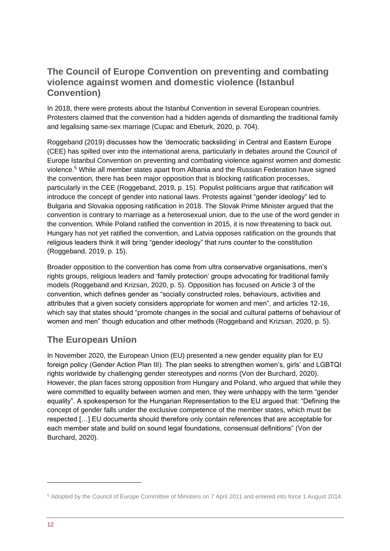### **The Council of Europe Convention on preventing and combating violence against women and domestic violence (Istanbul Convention)**

In 2018, there were protests about the Istanbul Convention in several European countries. Protesters claimed that the convention had a hidden agenda of dismantling the traditional family and legalising same-sex marriage (Cupac and Ebeturk, 2020, p. 704).

Roggeband (2019) discusses how the 'democratic backsliding' in Central and Eastern Europe (CEE) has spilled over into the international arena, particularly in debates around the Council of Europe Istanbul Convention on preventing and combating violence against women and domestic violence.<sup>5</sup> While all member states apart from Albania and the Russian Federation have signed the convention, there has been major opposition that is blocking ratification processes, particularly in the CEE (Roggeband, 2019, p. 15). Populist politicians argue that ratification will introduce the concept of gender into national laws. Protests against "gender ideology" led to Bulgaria and Slovakia opposing ratification in 2018. The Slovak Prime Minister argued that the convention is contrary to marriage as a heterosexual union, due to the use of the word gender in the convention. While Poland ratified the convention in 2015, it is now threatening to back out. Hungary has not yet ratified the convention, and Latvia opposes ratification on the grounds that religious leaders think it will bring "gender ideology" that runs counter to the constitution (Roggeband, 2019, p. 15).

Broader opposition to the convention has come from ultra conservative organisations, men's rights groups, religious leaders and 'family protection' groups advocating for traditional family models (Roggeband and Krizsan, 2020, p. 5). Opposition has focused on Article 3 of the convention, which defines gender as "socially constructed roles, behaviours, activities and attributes that a given society considers appropriate for women and men", and articles 12-16, which say that states should "promote changes in the social and cultural patterns of behaviour of women and men" though education and other methods (Roggeband and Krizsan, 2020, p. 5).

# **The European Union**

In November 2020, the European Union (EU) presented a new gender equality plan for EU foreign policy (Gender Action Plan III). The plan seeks to strengthen women's, girls' and LGBTQI rights worldwide by challenging gender stereotypes and norms (Von der Burchard, 2020). However, the plan faces strong opposition from Hungary and Poland, who argued that while they were committed to equality between women and men, they were unhappy with the term "gender equality". A spokesperson for the Hungarian Representation to the EU argued that: "Defining the concept of gender falls under the exclusive competence of the member states, which must be respected […] EU documents should therefore only contain references that are acceptable for each member state and build on sound legal foundations, consensual definitions" (Von der Burchard, 2020).

<sup>5</sup> Adopted by the Council of Europe Committee of Ministers on 7 April 2011 and entered into force 1 August 2014.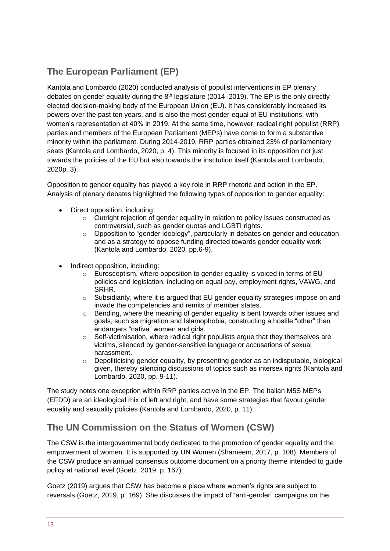# **The European Parliament (EP)**

Kantola and Lombardo (2020) conducted analysis of populist interventions in EP plenary debates on gender equality during the 8<sup>th</sup> legislature (2014–2019). The EP is the only directly elected decision-making body of the European Union (EU). It has considerably increased its powers over the past ten years, and is also the most gender-equal of EU institutions, with women's representation at 40% in 2019. At the same time, however, radical right populist (RRP) parties and members of the European Parliament (MEPs) have come to form a substantive minority within the parliament. During 2014-2019, RRP parties obtained 23% of parliamentary seats (Kantola and Lombardo, 2020, p. 4). This minority is focused in its opposition not just towards the policies of the EU but also towards the institution itself (Kantola and Lombardo, 2020p. 3).

Opposition to gender equality has played a key role in RRP rhetoric and action in the EP. Analysis of plenary debates highlighted the following types of opposition to gender equality:

- Direct opposition, including:
	- $\circ$  Outright rejection of gender equality in relation to policy issues constructed as controversial, such as gender quotas and LGBTI rights.
	- $\circ$  Opposition to "gender ideology", particularly in debates on gender and education, and as a strategy to oppose funding directed towards gender equality work (Kantola and Lombardo, 2020, pp.6-9).
- Indirect opposition, including:
	- $\circ$  Eurosceptism, where opposition to gender equality is voiced in terms of EU policies and legislation, including on equal pay, employment rights, VAWG, and SRHR.
	- $\circ$  Subsidiarity, where it is argued that EU gender equality strategies impose on and invade the competencies and remits of member states.
	- $\circ$  Bending, where the meaning of gender equality is bent towards other issues and goals, such as migration and Islamophobia, constructing a hostile "other" than endangers "native" women and girls.
	- $\circ$  Self-victimisation, where radical right populists argue that they themselves are victims, silenced by gender-sensitive language or accusations of sexual harassment.
	- o Depoliticising gender equality, by presenting gender as an indisputable, biological given, thereby silencing discussions of topics such as intersex rights (Kantola and Lombardo, 2020, pp. 9-11).

The study notes one exception within RRP parties active in the EP. The Italian M5S MEPs (EFDD) are an ideological mix of left and right, and have some strategies that favour gender equality and sexuality policies (Kantola and Lombardo, 2020, p. 11).

# **The UN Commission on the Status of Women (CSW)**

The CSW is the intergovernmental body dedicated to the promotion of gender equality and the empowerment of women. It is supported by UN Women (Shameem, 2017, p. 108). Members of the CSW produce an annual consensus outcome document on a priority theme intended to guide policy at national level (Goetz, 2019, p. 167).

Goetz (2019) argues that CSW has become a place where women's rights are subject to reversals (Goetz, 2019, p. 169). She discusses the impact of "anti-gender" campaigns on the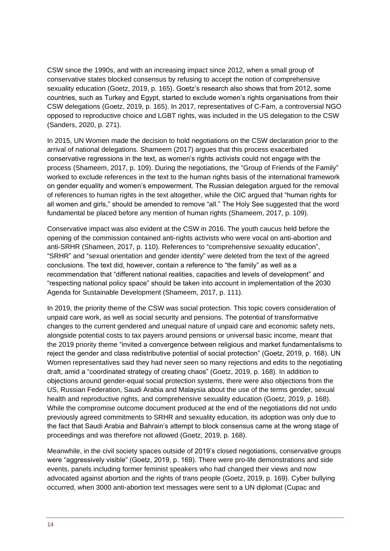CSW since the 1990s, and with an increasing impact since 2012, when a small group of conservative states blocked consensus by refusing to accept the notion of comprehensive sexuality education (Goetz, 2019, p. 165). Goetz's research also shows that from 2012, some countries, such as Turkey and Egypt, started to exclude women's rights organisations from their CSW delegations (Goetz, 2019, p. 165). In 2017, representatives of C-Fam, a controversial NGO opposed to reproductive choice and LGBT rights, was included in the US delegation to the CSW (Sanders, 2020, p. 271).

In 2015, UN Women made the decision to hold negotiations on the CSW declaration prior to the arrival of national delegations. Shameem (2017) argues that this process exacerbated conservative regressions in the text, as women's rights activists could not engage with the process (Shameem, 2017, p. 109). During the negotiations, the "Group of Friends of the Family" worked to exclude references in the text to the human rights basis of the international framework on gender equality and women's empowerment. The Russian delegation argued for the removal of references to human rights in the text altogether, while the OIC argued that "human rights for all women and girls," should be amended to remove "all." The Holy See suggested that the word fundamental be placed before any mention of human rights (Shameem, 2017, p. 109).

Conservative impact was also evident at the CSW in 2016. The youth caucus held before the opening of the commission contained anti-rights activists who were vocal on anti-abortion and anti-SRHR (Shameen, 2017, p. 110). References to "comprehensive sexuality education", "SRHR" and "sexual orientation and gender identity" were deleted from the text of the agreed conclusions. The text did, however, contain a reference to "the family" as well as a recommendation that "different national realities, capacities and levels of development" and "respecting national policy space" should be taken into account in implementation of the 2030 Agenda for Sustainable Development (Shameem, 2017, p. 111).

In 2019, the priority theme of the CSW was social protection. This topic covers consideration of unpaid care work, as well as social security and pensions. The potential of transformative changes to the current gendered and unequal nature of unpaid care and economic safety nets, alongside potential costs to tax payers around pensions or universal basic income, meant that the 2019 priority theme "invited a convergence between religious and market fundamentalisms to reject the gender and class redistributive potential of social protection" (Goetz, 2019, p. 168). UN Women representatives said they had never seen so many rejections and edits to the negotiating draft, amid a "coordinated strategy of creating chaos" (Goetz, 2019, p. 168). In addition to objections around gender-equal social protection systems, there were also objections from the US, Russian Federation, Saudi Arabia and Malaysia about the use of the terms gender, sexual health and reproductive rights, and comprehensive sexuality education (Goetz, 2019, p. 168). While the compromise outcome document produced at the end of the negotiations did not undo previously agreed commitments to SRHR and sexuality education, its adoption was only due to the fact that Saudi Arabia and Bahrain's attempt to block consensus came at the wrong stage of proceedings and was therefore not allowed (Goetz, 2019, p. 168).

Meanwhile, in the civil society spaces outside of 2019's closed negotiations, conservative groups were "aggressively visible" (Goetz, 2019, p. 169). There were pro-life demonstrations and side events, panels including former feminist speakers who had changed their views and now advocated against abortion and the rights of trans people (Goetz, 2019, p. 169). Cyber bullying occurred, when 3000 anti-abortion text messages were sent to a UN diplomat (Cupac and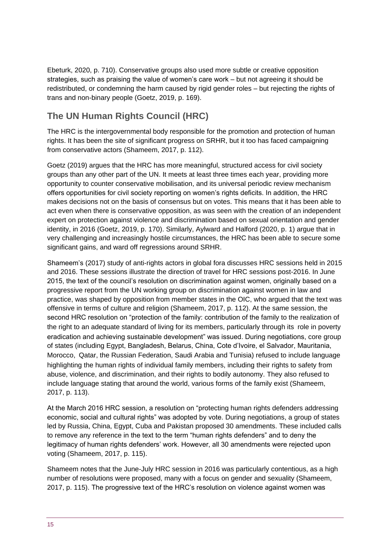Ebeturk, 2020, p. 710). Conservative groups also used more subtle or creative opposition strategies, such as praising the value of women's care work – but not agreeing it should be redistributed, or condemning the harm caused by rigid gender roles – but rejecting the rights of trans and non-binary people (Goetz, 2019, p. 169).

# **The UN Human Rights Council (HRC)**

The HRC is the intergovernmental body responsible for the promotion and protection of human rights. It has been the site of significant progress on SRHR, but it too has faced campaigning from conservative actors (Shameem, 2017, p. 112).

Goetz (2019) argues that the HRC has more meaningful, structured access for civil society groups than any other part of the UN. It meets at least three times each year, providing more opportunity to counter conservative mobilisation, and its universal periodic review mechanism offers opportunities for civil society reporting on women's rights deficits. In addition, the HRC makes decisions not on the basis of consensus but on votes. This means that it has been able to act even when there is conservative opposition, as was seen with the creation of an independent expert on protection against violence and discrimination based on sexual orientation and gender identity, in 2016 (Goetz, 2019, p. 170). Similarly, Aylward and Halford (2020, p. 1) argue that in very challenging and increasingly hostile circumstances, the HRC has been able to secure some significant gains, and ward off regressions around SRHR.

Shameem's (2017) study of anti-rights actors in global fora discusses HRC sessions held in 2015 and 2016. These sessions illustrate the direction of travel for HRC sessions post-2016. In June 2015, the text of the council's resolution on discrimination against women, originally based on a progressive report from the UN working group on discrimination against women in law and practice, was shaped by opposition from member states in the OIC, who argued that the text was offensive in terms of culture and religion (Shameem, 2017, p. 112). At the same session, the second HRC resolution on "protection of the family: contribution of the family to the realization of the right to an adequate standard of living for its members, particularly through its role in poverty eradication and achieving sustainable development" was issued. During negotiations, core group of states (including Egypt, Bangladesh, Belarus, China, Cote d'Ivoire, el Salvador, Mauritania, Morocco, Qatar, the Russian Federation, Saudi Arabia and Tunisia) refused to include language highlighting the human rights of individual family members, including their rights to safety from abuse, violence, and discrimination, and their rights to bodily autonomy. They also refused to include language stating that around the world, various forms of the family exist (Shameem, 2017, p. 113).

At the March 2016 HRC session, a resolution on "protecting human rights defenders addressing economic, social and cultural rights" was adopted by vote. During negotiations, a group of states led by Russia, China, Egypt, Cuba and Pakistan proposed 30 amendments. These included calls to remove any reference in the text to the term "human rights defenders" and to deny the legitimacy of human rights defenders' work. However, all 30 amendments were rejected upon voting (Shameem, 2017, p. 115).

Shameem notes that the June-July HRC session in 2016 was particularly contentious, as a high number of resolutions were proposed, many with a focus on gender and sexuality (Shameem, 2017, p. 115). The progressive text of the HRC's resolution on violence against women was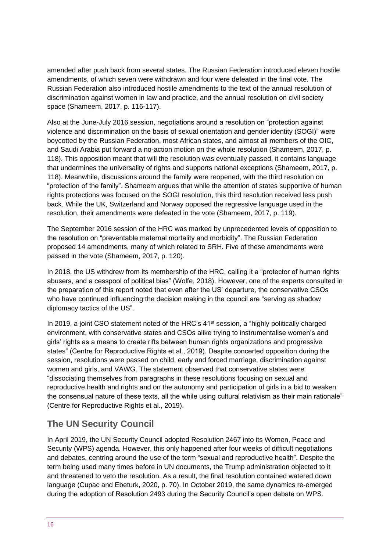amended after push back from several states. The Russian Federation introduced eleven hostile amendments, of which seven were withdrawn and four were defeated in the final vote. The Russian Federation also introduced hostile amendments to the text of the annual resolution of discrimination against women in law and practice, and the annual resolution on civil society space (Shameem, 2017, p. 116-117).

Also at the June-July 2016 session, negotiations around a resolution on "protection against violence and discrimination on the basis of sexual orientation and gender identity (SOGI)" were boycotted by the Russian Federation, most African states, and almost all members of the OIC, and Saudi Arabia put forward a no-action motion on the whole resolution (Shameem, 2017, p. 118). This opposition meant that will the resolution was eventually passed, it contains language that undermines the universality of rights and supports national exceptions (Shameem, 2017, p. 118). Meanwhile, discussions around the family were reopened, with the third resolution on "protection of the family". Shameem argues that while the attention of states supportive of human rights protections was focused on the SOGI resolution, this third resolution received less push back. While the UK, Switzerland and Norway opposed the regressive language used in the resolution, their amendments were defeated in the vote (Shameem, 2017, p. 119).

The September 2016 session of the HRC was marked by unprecedented levels of opposition to the resolution on "preventable maternal mortality and morbidity". The Russian Federation proposed 14 amendments, many of which related to SRH. Five of these amendments were passed in the vote (Shameem, 2017, p. 120).

In 2018, the US withdrew from its membership of the HRC, calling it a "protector of human rights abusers, and a cesspool of political bias" (Wolfe, 2018). However, one of the experts consulted in the preparation of this report noted that even after the US' departure, the conservative CSOs who have continued influencing the decision making in the council are "serving as shadow diplomacy tactics of the US".

In 2019, a joint CSO statement noted of the HRC's 41<sup>st</sup> session, a "highly politically charged environment, with conservative states and CSOs alike trying to instrumentalise women's and girls' rights as a means to create rifts between human rights organizations and progressive states" (Centre for Reproductive Rights et al., 2019). Despite concerted opposition during the session, resolutions were passed on child, early and forced marriage, discrimination against women and girls, and VAWG. The statement observed that conservative states were "dissociating themselves from paragraphs in these resolutions focusing on sexual and reproductive health and rights and on the autonomy and participation of girls in a bid to weaken the consensual nature of these texts, all the while using cultural relativism as their main rationale" (Centre for Reproductive Rights et al., 2019).

### **The UN Security Council**

In April 2019, the UN Security Council adopted Resolution 2467 into its Women, Peace and Security (WPS) agenda. However, this only happened after four weeks of difficult negotiations and debates, centring around the use of the term "sexual and reproductive health". Despite the term being used many times before in UN documents, the Trump administration objected to it and threatened to veto the resolution. As a result, the final resolution contained watered down language (Cupac and Ebeturk, 2020, p. 70). In October 2019, the same dynamics re-emerged during the adoption of Resolution 2493 during the Security Council's open debate on WPS.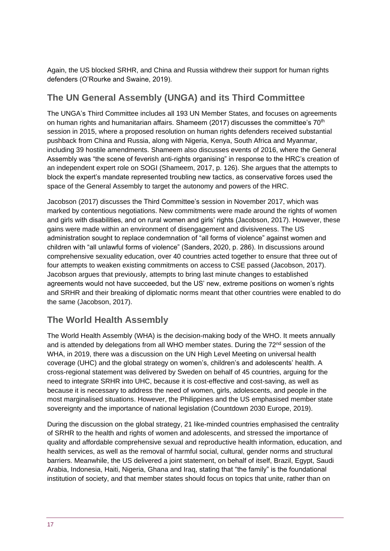Again, the US blocked SRHR, and China and Russia withdrew their support for human rights defenders (O'Rourke and Swaine, 2019).

# **The UN General Assembly (UNGA) and its Third Committee**

The UNGA's Third Committee includes all 193 UN Member States, and focuses on agreements on human rights and humanitarian affairs. Shameem (2017) discusses the committee's 70th session in 2015, where a proposed resolution on human rights defenders received substantial pushback from China and Russia, along with Nigeria, Kenya, South Africa and Myanmar, including 39 hostile amendments. Shameem also discusses events of 2016, where the General Assembly was "the scene of feverish anti-rights organising" in response to the HRC's creation of an independent expert role on SOGI (Shameem, 2017, p. 126). She argues that the attempts to block the expert's mandate represented troubling new tactics, as conservative forces used the space of the General Assembly to target the autonomy and powers of the HRC.

Jacobson (2017) discusses the Third Committee's session in November 2017, which was marked by contentious negotiations. New commitments were made around the rights of women and girls with disabilities, and on rural women and girls' rights (Jacobson, 2017). However, these gains were made within an environment of disengagement and divisiveness. The US administration sought to replace condemnation of "all forms of violence" against women and children with "all unlawful forms of violence" (Sanders, 2020, p. 286). In discussions around comprehensive sexuality education, over 40 countries acted together to ensure that three out of four attempts to weaken existing commitments on access to CSE passed (Jacobson, 2017). Jacobson argues that previously, attempts to bring last minute changes to established agreements would not have succeeded, but the US' new, extreme positions on women's rights and SRHR and their breaking of diplomatic norms meant that other countries were enabled to do the same (Jacobson, 2017).

# **The World Health Assembly**

The World Health Assembly (WHA) is the decision-making body of the WHO. It meets annually and is attended by delegations from all WHO member states. During the 72<sup>nd</sup> session of the WHA, in 2019, there was a discussion on the UN High Level Meeting on universal health coverage (UHC) and the global strategy on women's, children's and adolescents' health. A cross-regional statement was delivered by Sweden on behalf of 45 countries, arguing for the need to integrate SRHR into UHC, because it is cost-effective and cost-saving, as well as because it is necessary to address the need of women, girls, adolescents, and people in the most marginalised situations. However, the Philippines and the US emphasised member state sovereignty and the importance of national legislation (Countdown 2030 Europe, 2019).

During the discussion on the global strategy, 21 like-minded countries emphasised the centrality of SRHR to the health and rights of women and adolescents, and stressed the importance of quality and affordable comprehensive sexual and reproductive health information, education, and health services, as well as the removal of harmful social, cultural, gender norms and structural barriers. Meanwhile, the US delivered a joint statement, on behalf of itself, Brazil, Egypt, Saudi Arabia, Indonesia, Haiti, Nigeria, Ghana and Iraq, stating that "the family" is the foundational institution of society, and that member states should focus on topics that unite, rather than on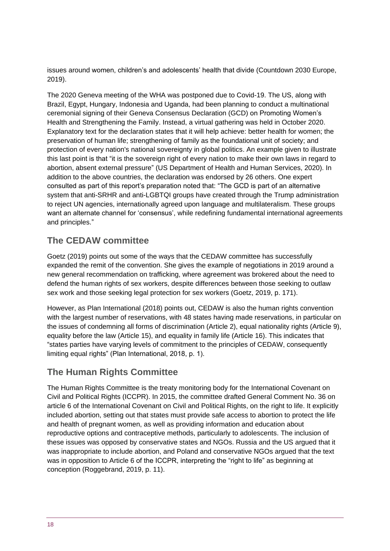issues around women, children's and adolescents' health that divide (Countdown 2030 Europe, 2019).

The 2020 Geneva meeting of the WHA was postponed due to Covid-19. The US, along with Brazil, Egypt, Hungary, Indonesia and Uganda, had been planning to conduct a multinational ceremonial signing of their Geneva Consensus Declaration (GCD) on Promoting Women's Health and Strengthening the Family. Instead, a virtual gathering was held in October 2020. Explanatory text for the declaration states that it will help achieve: better health for women; the preservation of human life; strengthening of family as the foundational unit of society; and protection of every nation's national sovereignty in global politics. An example given to illustrate this last point is that "it is the sovereign right of every nation to make their own laws in regard to abortion, absent external pressure" (US Department of Health and Human Services, 2020). In addition to the above countries, the declaration was endorsed by 26 others. One expert consulted as part of this report's preparation noted that: "The GCD is part of an alternative system that anti-SRHR and anti-LGBTQI groups have created through the Trump administration to reject UN agencies, internationally agreed upon language and multilateralism. These groups want an alternate channel for 'consensus', while redefining fundamental international agreements and principles."

### **The CEDAW committee**

Goetz (2019) points out some of the ways that the CEDAW committee has successfully expanded the remit of the convention. She gives the example of negotiations in 2019 around a new general recommendation on trafficking, where agreement was brokered about the need to defend the human rights of sex workers, despite differences between those seeking to outlaw sex work and those seeking legal protection for sex workers (Goetz, 2019, p. 171).

However, as Plan International (2018) points out, CEDAW is also the human rights convention with the largest number of reservations, with 48 states having made reservations, in particular on the issues of condemning all forms of discrimination (Article 2), equal nationality rights (Article 9), equality before the law (Article 15), and equality in family life (Article 16). This indicates that "states parties have varying levels of commitment to the principles of CEDAW, consequently limiting equal rights" (Plan International, 2018, p. 1).

# **The Human Rights Committee**

The Human Rights Committee is the treaty monitoring body for the International Covenant on Civil and Political Rights (ICCPR). In 2015, the committee drafted General Comment No. 36 on article 6 of the International Covenant on Civil and Political Rights, on the right to life. It explicitly included abortion, setting out that states must provide safe access to abortion to protect the life and health of pregnant women, as well as providing information and education about reproductive options and contraceptive methods, particularly to adolescents. The inclusion of these issues was opposed by conservative states and NGOs. Russia and the US argued that it was inappropriate to include abortion, and Poland and conservative NGOs argued that the text was in opposition to Article 6 of the ICCPR, interpreting the "right to life" as beginning at conception (Roggebrand, 2019, p. 11).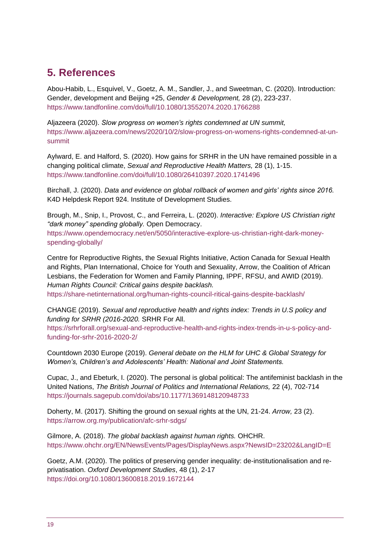# <span id="page-18-0"></span>**5. References**

Abou-Habib, L., Esquivel, V., Goetz, A. M., Sandler, J., and Sweetman, C. (2020). Introduction: Gender, development and Beijing +25, *Gender & Development,* 28 (2), 223-237. <https://www.tandfonline.com/doi/full/10.1080/13552074.2020.1766288>

Aljazeera (2020). *Slow progress on women's rights condemned at UN summit,* [https://www.aljazeera.com/news/2020/10/2/slow-progress-on-womens-rights-condemned-at-un](https://www.aljazeera.com/news/2020/10/2/slow-progress-on-womens-rights-condemned-at-un-summit)[summit](https://www.aljazeera.com/news/2020/10/2/slow-progress-on-womens-rights-condemned-at-un-summit)

Aylward, E. and Halford, S. (2020). How gains for SRHR in the UN have remained possible in a changing political climate, *Sexual and Reproductive Health Matters,* 28 (1), 1-15. <https://www.tandfonline.com/doi/full/10.1080/26410397.2020.1741496>

Birchall, J. (2020). *Data and evidence on global rollback of women and girls' rights since 2016.* K4D Helpdesk Report 924. Institute of Development Studies.

Brough, M., Snip, I., Provost, C., and Ferreira, L. (2020). *Interactive: Explore US Christian right "dark money" spending globally.* Open Democracy. [https://www.opendemocracy.net/en/5050/interactive-explore-us-christian-right-dark-money-](https://www.opendemocracy.net/en/5050/interactive-explore-us-christian-right-dark-money-spending-globally/)

[spending-globally/](https://www.opendemocracy.net/en/5050/interactive-explore-us-christian-right-dark-money-spending-globally/)

Centre for Reproductive Rights, the Sexual Rights Initiative, Action Canada for Sexual Health and Rights, Plan International, Choice for Youth and Sexuality, Arrow, the Coalition of African Lesbians, the Federation for Women and Family Planning, IPPF, RFSU, and AWID (2019). *Human Rights Council: Critical gains despite backlash.*

<https://share-netinternational.org/human-rights-council-ritical-gains-despite-backlash/>

CHANGE (2019). *Sexual and reproductive health and rights index: Trends in U.S policy and funding for SRHR (2016-2020.* SRHR For All.

[https://srhrforall.org/sexual-and-reproductive-health-and-rights-index-trends-in-u-s-policy-and](https://srhrforall.org/sexual-and-reproductive-health-and-rights-index-trends-in-u-s-policy-and-funding-for-srhr-2016-2020-2/)[funding-for-srhr-2016-2020-2/](https://srhrforall.org/sexual-and-reproductive-health-and-rights-index-trends-in-u-s-policy-and-funding-for-srhr-2016-2020-2/)

Countdown 2030 Europe (2019). *General debate on the HLM for UHC & Global Strategy for Women's, Children's and Adolescents' Health: National and Joint Statements.*

Cupac, J., and Ebeturk, I. (2020). The personal is global political: The antifeminist backlash in the United Nations, *The British Journal of Politics and International Relations,* 22 (4), 702-714 <https://journals.sagepub.com/doi/abs/10.1177/1369148120948733>

Doherty, M. (2017). Shifting the ground on sexual rights at the UN, 21-24. *Arrow,* 23 (2). <https://arrow.org.my/publication/afc-srhr-sdgs/>

Gilmore, A. (2018). *The global backlash against human rights.* OHCHR. <https://www.ohchr.org/EN/NewsEvents/Pages/DisplayNews.aspx?NewsID=23202&LangID=E>

Goetz, A.M. (2020). The politics of preserving gender inequality: de-institutionalisation and reprivatisation. *Oxford Development Studies*, 48 (1), 2-17 <https://doi.org/10.1080/13600818.2019.1672144>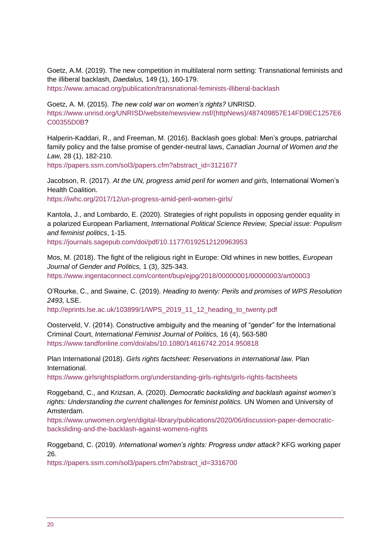Goetz, A.M. (2019). The new competition in multilateral norm setting: Transnational feminists and the illiberal backlash, *Daedalus,* 149 (1), 160-179.

<https://www.amacad.org/publication/transnational-feminists-illiberal-backlash>

Goetz, A. M. (2015). *The new cold war on women's rights?* UNRISD. [https://www.unrisd.org/UNRISD/website/newsview.nsf/\(httpNews\)/487409857E14FD9EC1257E6](https://www.unrisd.org/UNRISD/website/newsview.nsf/(httpNews)/487409857E14FD9EC1257E6C00355D0B) [C00355D0B?](https://www.unrisd.org/UNRISD/website/newsview.nsf/(httpNews)/487409857E14FD9EC1257E6C00355D0B)

Halperin-Kaddari, R., and Freeman, M. (2016). Backlash goes global: Men's groups, patriarchal family policy and the false promise of gender-neutral laws, *Canadian Journal of Women and the Law,* 28 (1), 182-210*.*

[https://papers.ssrn.com/sol3/papers.cfm?abstract\\_id=3121677](https://papers.ssrn.com/sol3/papers.cfm?abstract_id=3121677)

Jacobson, R. (2017). *At the UN, progress amid peril for women and girls,* International Women's Health Coalition.

<https://iwhc.org/2017/12/un-progress-amid-peril-women-girls/>

Kantola, J., and Lombardo, E. (2020). Strategies of right populists in opposing gender equality in a polarized European Parliament, *International Political Science Review, Special issue: Populism and feminist politics*, 1-15.

<https://journals.sagepub.com/doi/pdf/10.1177/0192512120963953>

Mos, M. (2018). The fight of the religious right in Europe: Old whines in new bottles, *European Journal of Gender and Politics,* 1 (3), 325-343. <https://www.ingentaconnect.com/content/bup/ejpg/2018/00000001/00000003/art00003>

O'Rourke, C., and Swaine, C. (2019). *Heading to twenty: Perils and promises of WPS Resolution 2493,* LSE.

[http://eprints.lse.ac.uk/103899/1/WPS\\_2019\\_11\\_12\\_heading\\_to\\_twenty.pdf](http://eprints.lse.ac.uk/103899/1/WPS_2019_11_12_heading_to_twenty.pdf)

Oosterveld, V. (2014). Constructive ambiguity and the meaning of "gender" for the International Criminal Court, *International Feminist Journal of Politics,* 16 (4), 563-580 <https://www.tandfonline.com/doi/abs/10.1080/14616742.2014.950818>

Plan International (2018). *Girls rights factsheet: Reservations in international law.* Plan International.

<https://www.girlsrightsplatform.org/understanding-girls-rights/girls-rights-factsheets>

Roggeband, C., and Krizsan, A. (2020). *Democratic backsliding and backlash against women's rights: Understanding the current challenges for feminist politics.* UN Women and University of Amsterdam.

[https://www.unwomen.org/en/digital-library/publications/2020/06/discussion-paper-democratic](https://www.unwomen.org/en/digital-library/publications/2020/06/discussion-paper-democratic-backsliding-and-the-backlash-against-womens-rights)[backsliding-and-the-backlash-against-womens-rights](https://www.unwomen.org/en/digital-library/publications/2020/06/discussion-paper-democratic-backsliding-and-the-backlash-against-womens-rights)

Roggeband, C. (2019). *International women's rights: Progress under attack?* KFG working paper 26.

[https://papers.ssrn.com/sol3/papers.cfm?abstract\\_id=3316700](https://papers.ssrn.com/sol3/papers.cfm?abstract_id=3316700)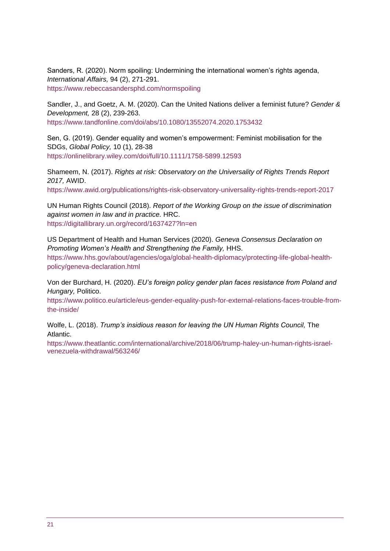Sanders, R. (2020). Norm spoiling: Undermining the international women's rights agenda, *International Affairs,* 94 (2), 271-291. <https://www.rebeccasandersphd.com/normspoiling>

Sandler, J., and Goetz, A. M. (2020). Can the United Nations deliver a feminist future? *Gender & Development,* 28 (2), 239-263. <https://www.tandfonline.com/doi/abs/10.1080/13552074.2020.1753432>

Sen, G. (2019). Gender equality and women's empowerment: Feminist mobilisation for the SDGs, *Global Policy,* 10 (1), 28-38 <https://onlinelibrary.wiley.com/doi/full/10.1111/1758-5899.12593>

Shameem, N. (2017). *Rights at risk: Observatory on the Universality of Rights Trends Report 2017,* AWID.

<https://www.awid.org/publications/rights-risk-observatory-universality-rights-trends-report-2017>

UN Human Rights Council (2018). *Report of the Working Group on the issue of discrimination against women in law and in practice.* HRC. <https://digitallibrary.un.org/record/1637427?ln=en>

US Department of Health and Human Services (2020). *Geneva Consensus Declaration on Promoting Women's Health and Strengthening the Family,* HHS.

[https://www.hhs.gov/about/agencies/oga/global-health-diplomacy/protecting-life-global-health](https://www.hhs.gov/about/agencies/oga/global-health-diplomacy/protecting-life-global-health-policy/geneva-declaration.html)[policy/geneva-declaration.html](https://www.hhs.gov/about/agencies/oga/global-health-diplomacy/protecting-life-global-health-policy/geneva-declaration.html)

Von der Burchard, H. (2020). *EU's foreign policy gender plan faces resistance from Poland and Hungary,* Politico.

[https://www.politico.eu/article/eus-gender-equality-push-for-external-relations-faces-trouble-from](https://www.politico.eu/article/eus-gender-equality-push-for-external-relations-faces-trouble-from-the-inside/)[the-inside/](https://www.politico.eu/article/eus-gender-equality-push-for-external-relations-faces-trouble-from-the-inside/)

Wolfe, L. (2018). *Trump's insidious reason for leaving the UN Human Rights Council,* The Atlantic.

[https://www.theatlantic.com/international/archive/2018/06/trump-haley-un-human-rights-israel](https://www.theatlantic.com/international/archive/2018/06/trump-haley-un-human-rights-israel-venezuela-withdrawal/563246/)[venezuela-withdrawal/563246/](https://www.theatlantic.com/international/archive/2018/06/trump-haley-un-human-rights-israel-venezuela-withdrawal/563246/)